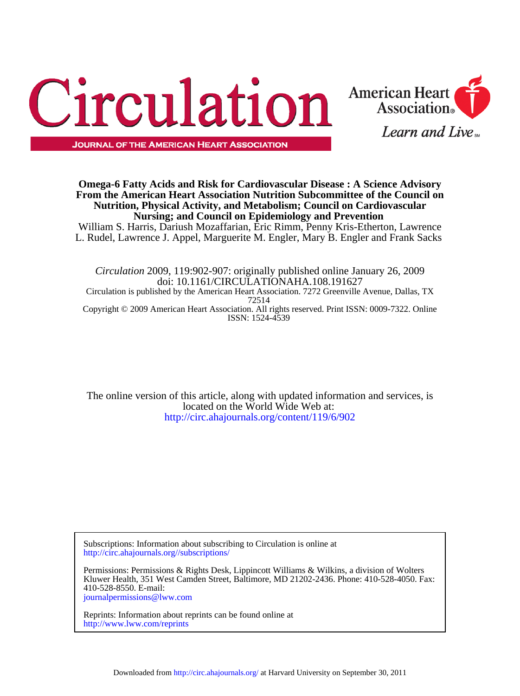



## **Nursing; and Council on Epidemiology and Prevention Nutrition, Physical Activity, and Metabolism; Council on Cardiovascular From the American Heart Association Nutrition Subcommittee of the Council on Omega-6 Fatty Acids and Risk for Cardiovascular Disease : A Science Advisory**

L. Rudel, Lawrence J. Appel, Marguerite M. Engler, Mary B. Engler and Frank Sacks William S. Harris, Dariush Mozaffarian, Eric Rimm, Penny Kris-Etherton, Lawrence

ISSN: 1524-4539 Copyright © 2009 American Heart Association. All rights reserved. Print ISSN: 0009-7322. Online 72514 Circulation is published by the American Heart Association. 7272 Greenville Avenue, Dallas, TX doi: 10.1161/CIRCULATIONAHA.108.191627 *Circulation* 2009, 119:902-907: originally published online January 26, 2009

[http://circ.ahajournals.org/content/119/6/902](http://http://circ.ahajournals.org/content/119/6/902) located on the World Wide Web at: The online version of this article, along with updated information and services, is

<http://circ.ahajournals.org//subscriptions/> Subscriptions: Information about subscribing to Circulation is online at

[journalpermissions@lww.com](mailto:journalpermissions@lww.com) 410-528-8550. E-mail: Kluwer Health, 351 West Camden Street, Baltimore, MD 21202-2436. Phone: 410-528-4050. Fax: Permissions: Permissions & Rights Desk, Lippincott Williams & Wilkins, a division of Wolters

<http://www.lww.com/reprints> Reprints: Information about reprints can be found online at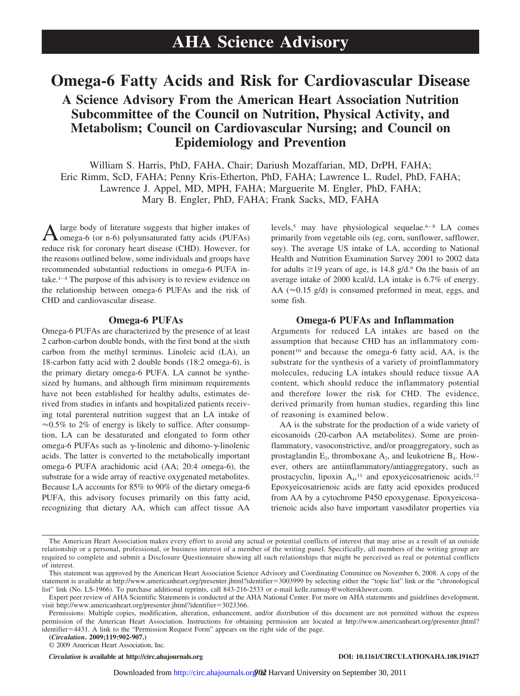# **Omega-6 Fatty Acids and Risk for Cardiovascular Disease**

# **A Science Advisory From the American Heart Association Nutrition Subcommittee of the Council on Nutrition, Physical Activity, and Metabolism; Council on Cardiovascular Nursing; and Council on Epidemiology and Prevention**

William S. Harris, PhD, FAHA, Chair; Dariush Mozaffarian, MD, DrPH, FAHA; Eric Rimm, ScD, FAHA; Penny Kris-Etherton, PhD, FAHA; Lawrence L. Rudel, PhD, FAHA; Lawrence J. Appel, MD, MPH, FAHA; Marguerite M. Engler, PhD, FAHA; Mary B. Engler, PhD, FAHA; Frank Sacks, MD, FAHA

A large body of literature suggests that higher intakes of omega-6 (or n-6) polyunsaturated fatty acids (PUFAs) reduce risk for coronary heart disease (CHD). However, for the reasons outlined below, some individuals and groups have recommended substantial reductions in omega-6 PUFA intake.<sup>1-4</sup> The purpose of this advisory is to review evidence on the relationship between omega-6 PUFAs and the risk of CHD and cardiovascular disease.

### **Omega-6 PUFAs**

Omega-6 PUFAs are characterized by the presence of at least 2 carbon-carbon double bonds, with the first bond at the sixth carbon from the methyl terminus. Linoleic acid (LA), an 18-carbon fatty acid with 2 double bonds (18:2 omega-6), is the primary dietary omega-6 PUFA. LA cannot be synthesized by humans, and although firm minimum requirements have not been established for healthy adults, estimates derived from studies in infants and hospitalized patients receiving total parenteral nutrition suggest that an LA intake of  $\approx 0.5\%$  to 2% of energy is likely to suffice. After consumption, LA can be desaturated and elongated to form other omega-6 PUFAs such as  $\gamma$ -linolenic and dihomo- $\gamma$ -linolenic acids. The latter is converted to the metabolically important omega-6 PUFA arachidonic acid (AA; 20:4 omega-6), the substrate for a wide array of reactive oxygenated metabolites. Because LA accounts for 85% to 90% of the dietary omega-6 PUFA, this advisory focuses primarily on this fatty acid, recognizing that dietary AA, which can affect tissue AA

levels,<sup>5</sup> may have physiological sequelae.<sup>6–8</sup> LA comes primarily from vegetable oils (eg, corn, sunflower, safflower, soy). The average US intake of LA, according to National Health and Nutrition Examination Survey 2001 to 2002 data for adults  $\geq$ 19 years of age, is 14.8 g/d.<sup>9</sup> On the basis of an average intake of 2000 kcal/d, LA intake is 6.7% of energy. AA ( $\approx$ 0.15 g/d) is consumed preformed in meat, eggs, and some fish.

#### **Omega-6 PUFAs and Inflammation**

Arguments for reduced LA intakes are based on the assumption that because CHD has an inflammatory component<sup>10</sup> and because the omega-6 fatty acid, AA, is the substrate for the synthesis of a variety of proinflammatory molecules, reducing LA intakes should reduce tissue AA content, which should reduce the inflammatory potential and therefore lower the risk for CHD. The evidence, derived primarily from human studies, regarding this line of reasoning is examined below.

AA is the substrate for the production of a wide variety of eicosanoids (20-carbon AA metabolites). Some are proinflammatory, vasoconstrictive, and/or proaggregatory, such as prostaglandin  $E_2$ , thromboxane  $A_2$ , and leukotriene  $B_4$ . However, others are antiinflammatory/antiaggregatory, such as prostacyclin, lipoxin A<sub>4</sub>,<sup>11</sup> and epoxyeicosatrienoic acids.<sup>12</sup> Epoxyeicosatrienoic acids are fatty acid epoxides produced from AA by a cytochrome P450 epoxygenase. Epoxyeicosatrienoic acids also have important vasodilator properties via

**(***Circulation***. 2009;119:902-907.)**

© 2009 American Heart Association, Inc.

The American Heart Association makes every effort to avoid any actual or potential conflicts of interest that may arise as a result of an outside relationship or a personal, professional, or business interest of a member of the writing panel. Specifically, all members of the writing group are required to complete and submit a Disclosure Questionnaire showing all such relationships that might be perceived as real or potential conflicts of interest.

This statement was approved by the American Heart Association Science Advisory and Coordinating Committee on November 6, 2008. A copy of the statement is available at http://www.americanheart.org/presenter.jhtml?identifier=3003999 by selecting either the "topic list" link or the "chronological list" link (No. LS-1966). To purchase additional reprints, call 843-216-2533 or e-mail kelle.ramsay@wolterskluwer.com.

Expert peer review of AHA Scientific Statements is conducted at the AHA National Center. For more on AHA statements and guidelines development, visit http://www.americanheart.org/presenter.jhtml?identifier=3023366.

Permissions: Multiple copies, modification, alteration, enhancement, and/or distribution of this document are not permitted without the express permission of the American Heart Association. Instructions for obtaining permission are located at http://www.americanheart.org/presenter.jhtml? identifier-4431. A link to the "Permission Request Form" appears on the right side of the page.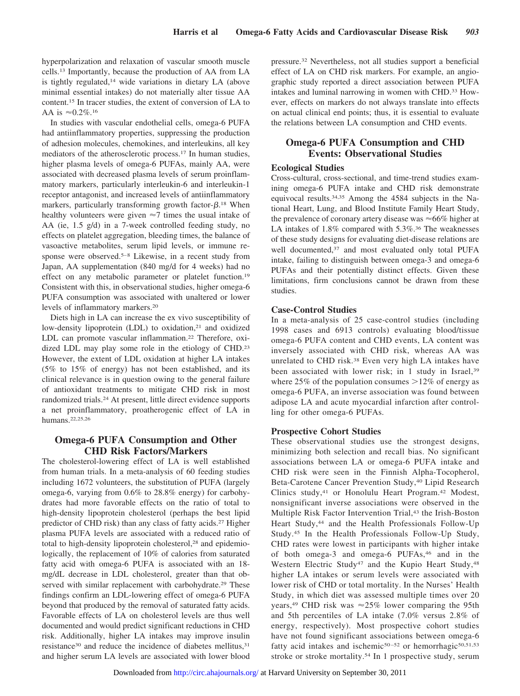hyperpolarization and relaxation of vascular smooth muscle cells.13 Importantly, because the production of AA from LA is tightly regulated,<sup>14</sup> wide variations in dietary LA (above minimal essential intakes) do not materially alter tissue AA content.15 In tracer studies, the extent of conversion of LA to AA is  $\approx 0.2\%$ .<sup>16</sup>

In studies with vascular endothelial cells, omega-6 PUFA had antiinflammatory properties, suppressing the production of adhesion molecules, chemokines, and interleukins, all key mediators of the atherosclerotic process.17 In human studies, higher plasma levels of omega-6 PUFAs, mainly AA, were associated with decreased plasma levels of serum proinflammatory markers, particularly interleukin-6 and interleukin-1 receptor antagonist, and increased levels of antiinflammatory markers, particularly transforming growth factor- $\beta$ .<sup>18</sup> When healthy volunteers were given  $\approx$ 7 times the usual intake of AA (ie, 1.5 g/d) in a 7-week controlled feeding study, no effects on platelet aggregation, bleeding times, the balance of vasoactive metabolites, serum lipid levels, or immune response were observed.<sup>5–8</sup> Likewise, in a recent study from Japan, AA supplementation (840 mg/d for 4 weeks) had no effect on any metabolic parameter or platelet function.19 Consistent with this, in observational studies, higher omega-6 PUFA consumption was associated with unaltered or lower levels of inflammatory markers.20

Diets high in LA can increase the ex vivo susceptibility of low-density lipoprotein (LDL) to oxidation,<sup>21</sup> and oxidized LDL can promote vascular inflammation.<sup>22</sup> Therefore, oxidized LDL may play some role in the etiology of CHD.<sup>23</sup> However, the extent of LDL oxidation at higher LA intakes (5% to 15% of energy) has not been established, and its clinical relevance is in question owing to the general failure of antioxidant treatments to mitigate CHD risk in most randomized trials.24 At present, little direct evidence supports a net proinflammatory, proatherogenic effect of LA in humans.22,25,26

## **Omega-6 PUFA Consumption and Other CHD Risk Factors/Markers**

The cholesterol-lowering effect of LA is well established from human trials. In a meta-analysis of 60 feeding studies including 1672 volunteers, the substitution of PUFA (largely omega-6, varying from 0.6% to 28.8% energy) for carbohydrates had more favorable effects on the ratio of total to high-density lipoprotein cholesterol (perhaps the best lipid predictor of CHD risk) than any class of fatty acids.27 Higher plasma PUFA levels are associated with a reduced ratio of total to high-density lipoprotein cholesterol,<sup>28</sup> and epidemiologically, the replacement of 10% of calories from saturated fatty acid with omega-6 PUFA is associated with an 18 mg/dL decrease in LDL cholesterol, greater than that observed with similar replacement with carbohydrate.<sup>29</sup> These findings confirm an LDL-lowering effect of omega-6 PUFA beyond that produced by the removal of saturated fatty acids. Favorable effects of LA on cholesterol levels are thus well documented and would predict significant reductions in CHD risk. Additionally, higher LA intakes may improve insulin resistance<sup>30</sup> and reduce the incidence of diabetes mellitus,<sup>31</sup> and higher serum LA levels are associated with lower blood

pressure.32 Nevertheless, not all studies support a beneficial effect of LA on CHD risk markers. For example, an angiographic study reported a direct association between PUFA intakes and luminal narrowing in women with CHD.33 However, effects on markers do not always translate into effects on actual clinical end points; thus, it is essential to evaluate the relations between LA consumption and CHD events.

## **Omega-6 PUFA Consumption and CHD Events: Observational Studies**

### **Ecological Studies**

Cross-cultural, cross-sectional, and time-trend studies examining omega-6 PUFA intake and CHD risk demonstrate equivocal results.34,35 Among the 4584 subjects in the National Heart, Lung, and Blood Institute Family Heart Study, the prevalence of coronary artery disease was  $\approx 66\%$  higher at LA intakes of 1.8% compared with 5.3%.<sup>36</sup> The weaknesses of these study designs for evaluating diet-disease relations are well documented,37 and most evaluated only total PUFA intake, failing to distinguish between omega-3 and omega-6 PUFAs and their potentially distinct effects. Given these limitations, firm conclusions cannot be drawn from these studies.

#### **Case-Control Studies**

In a meta-analysis of 25 case-control studies (including 1998 cases and 6913 controls) evaluating blood/tissue omega-6 PUFA content and CHD events, LA content was inversely associated with CHD risk, whereas AA was unrelated to CHD risk.38 Even very high LA intakes have been associated with lower risk; in 1 study in Israel,<sup>39</sup> where  $25\%$  of the population consumes  $>12\%$  of energy as omega-6 PUFA, an inverse association was found between adipose LA and acute myocardial infarction after controlling for other omega-6 PUFAs.

#### **Prospective Cohort Studies**

These observational studies use the strongest designs, minimizing both selection and recall bias. No significant associations between LA or omega-6 PUFA intake and CHD risk were seen in the Finnish Alpha-Tocopherol, Beta-Carotene Cancer Prevention Study,<sup>40</sup> Lipid Research Clinics study,41 or Honolulu Heart Program.42 Modest, nonsignificant inverse associations were observed in the Multiple Risk Factor Intervention Trial,43 the Irish-Boston Heart Study,<sup>44</sup> and the Health Professionals Follow-Up Study.45 In the Health Professionals Follow-Up Study, CHD rates were lowest in participants with higher intake of both omega-3 and omega-6 PUFAs,46 and in the Western Electric Study<sup>47</sup> and the Kupio Heart Study,<sup>48</sup> higher LA intakes or serum levels were associated with lower risk of CHD or total mortality. In the Nurses' Health Study, in which diet was assessed multiple times over 20 years,<sup>49</sup> CHD risk was  $\approx 25\%$  lower comparing the 95th and 5th percentiles of LA intake (7.0% versus 2.8% of energy, respectively). Most prospective cohort studies have not found significant associations between omega-6 fatty acid intakes and ischemic<sup>50-52</sup> or hemorrhagic<sup>50,51,53</sup> stroke or stroke mortality.54 In 1 prospective study, serum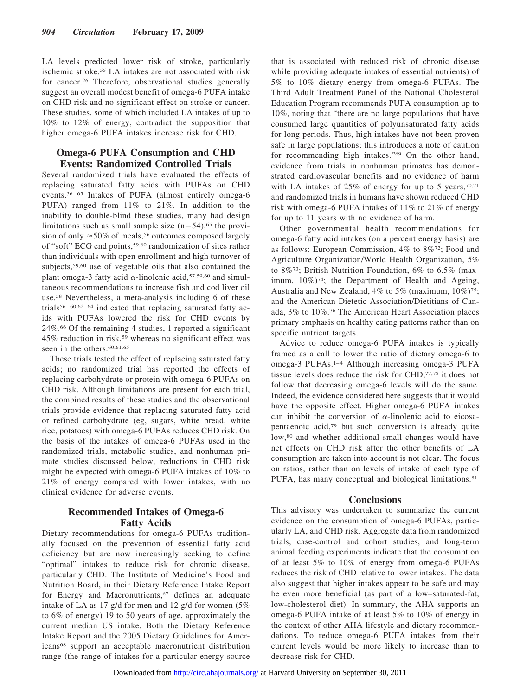LA levels predicted lower risk of stroke, particularly ischemic stroke.55 LA intakes are not associated with risk for cancer.26 Therefore, observational studies generally suggest an overall modest benefit of omega-6 PUFA intake on CHD risk and no significant effect on stroke or cancer. These studies, some of which included LA intakes of up to 10% to 12% of energy, contradict the supposition that higher omega-6 PUFA intakes increase risk for CHD.

### **Omega-6 PUFA Consumption and CHD Events: Randomized Controlled Trials**

Several randomized trials have evaluated the effects of replacing saturated fatty acids with PUFAs on CHD events.<sup>56-65</sup> Intakes of PUFA (almost entirely omega-6 PUFA) ranged from 11% to 21%. In addition to the inability to double-blind these studies, many had design limitations such as small sample size  $(n=54)$ ,<sup>65</sup> the provision of only  $\approx$  50% of meals,<sup>56</sup> outcomes composed largely of "soft" ECG end points,59,60 randomization of sites rather than individuals with open enrollment and high turnover of subjects,<sup>59,60</sup> use of vegetable oils that also contained the plant omega-3 fatty acid  $\alpha$ -linolenic acid,<sup>57,59,60</sup> and simultaneous recommendations to increase fish and cod liver oil use.58 Nevertheless, a meta-analysis including 6 of these trials<sup>56-60,62-64</sup> indicated that replacing saturated fatty acids with PUFAs lowered the risk for CHD events by 24%.66 Of the remaining 4 studies, 1 reported a significant 45% reduction in risk,59 whereas no significant effect was seen in the others.<sup>60,61,65</sup>

These trials tested the effect of replacing saturated fatty acids; no randomized trial has reported the effects of replacing carbohydrate or protein with omega-6 PUFAs on CHD risk. Although limitations are present for each trial, the combined results of these studies and the observational trials provide evidence that replacing saturated fatty acid or refined carbohydrate (eg, sugars, white bread, white rice, potatoes) with omega-6 PUFAs reduces CHD risk. On the basis of the intakes of omega-6 PUFAs used in the randomized trials, metabolic studies, and nonhuman primate studies discussed below, reductions in CHD risk might be expected with omega-6 PUFA intakes of 10% to 21% of energy compared with lower intakes, with no clinical evidence for adverse events.

## **Recommended Intakes of Omega-6 Fatty Acids**

Dietary recommendations for omega-6 PUFAs traditionally focused on the prevention of essential fatty acid deficiency but are now increasingly seeking to define "optimal" intakes to reduce risk for chronic disease, particularly CHD. The Institute of Medicine's Food and Nutrition Board, in their Dietary Reference Intake Report for Energy and Macronutrients,<sup>67</sup> defines an adequate intake of LA as 17 g/d for men and 12 g/d for women (5% to 6% of energy) 19 to 50 years of age, approximately the current median US intake. Both the Dietary Reference Intake Report and the 2005 Dietary Guidelines for Americans68 support an acceptable macronutrient distribution range (the range of intakes for a particular energy source

that is associated with reduced risk of chronic disease while providing adequate intakes of essential nutrients) of 5% to 10% dietary energy from omega-6 PUFAs. The Third Adult Treatment Panel of the National Cholesterol Education Program recommends PUFA consumption up to 10%, noting that "there are no large populations that have consumed large quantities of polyunsaturated fatty acids for long periods. Thus, high intakes have not been proven safe in large populations; this introduces a note of caution for recommending high intakes."69 On the other hand, evidence from trials in nonhuman primates has demonstrated cardiovascular benefits and no evidence of harm with LA intakes of  $25\%$  of energy for up to 5 years,  $70,71$ and randomized trials in humans have shown reduced CHD risk with omega-6 PUFA intakes of 11% to 21% of energy for up to 11 years with no evidence of harm.

Other governmental health recommendations for omega-6 fatty acid intakes (on a percent energy basis) are as follows: European Commission, 4% to 8%72; Food and Agriculture Organization/World Health Organization, 5% to 8%73; British Nutrition Foundation, 6% to 6.5% (maximum,  $10\%)$ <sup>74</sup>; the Department of Health and Ageing, Australia and New Zealand, 4% to 5% (maximum, 10%)<sup>75</sup>; and the American Dietetic Association/Dietitians of Canada, 3% to 10%.76 The American Heart Association places primary emphasis on healthy eating patterns rather than on specific nutrient targets.

Advice to reduce omega-6 PUFA intakes is typically framed as a call to lower the ratio of dietary omega-6 to omega-3 PUFAs.<sup>1-4</sup> Although increasing omega-3 PUFA tissue levels does reduce the risk for CHD,77,78 it does not follow that decreasing omega-6 levels will do the same. Indeed, the evidence considered here suggests that it would have the opposite effect. Higher omega-6 PUFA intakes can inhibit the conversion of  $\alpha$ -linolenic acid to eicosapentaenoic acid,79 but such conversion is already quite low,80 and whether additional small changes would have net effects on CHD risk after the other benefits of LA consumption are taken into account is not clear. The focus on ratios, rather than on levels of intake of each type of PUFA, has many conceptual and biological limitations.<sup>81</sup>

## **Conclusions**

This advisory was undertaken to summarize the current evidence on the consumption of omega-6 PUFAs, particularly LA, and CHD risk. Aggregate data from randomized trials, case-control and cohort studies, and long-term animal feeding experiments indicate that the consumption of at least 5% to 10% of energy from omega-6 PUFAs reduces the risk of CHD relative to lower intakes. The data also suggest that higher intakes appear to be safe and may be even more beneficial (as part of a low–saturated-fat, low-cholesterol diet). In summary, the AHA supports an omega-6 PUFA intake of at least 5% to 10% of energy in the context of other AHA lifestyle and dietary recommendations. To reduce omega-6 PUFA intakes from their current levels would be more likely to increase than to decrease risk for CHD.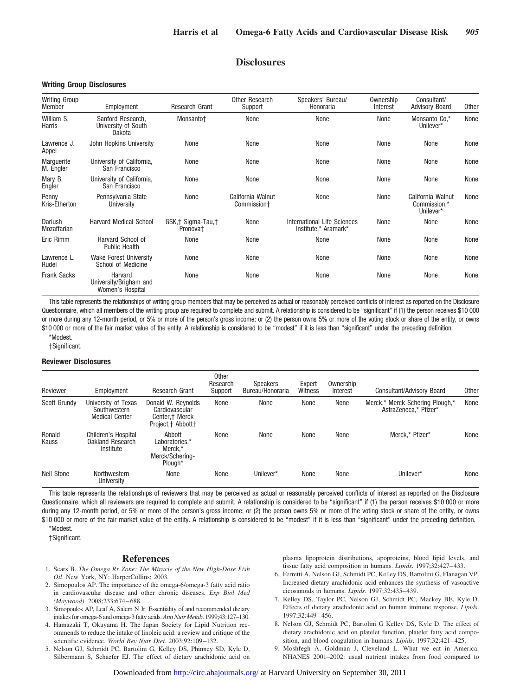### **Disclosures**

#### **Writing Group Disclosures**

| <b>Writing Group</b><br>Member | Employment                                            | Research Grant                            | Other Research<br>Support        | Speakers' Bureau/<br>Honoraria                      | Ownership<br>Interest | Consultant/<br><b>Advisory Board</b>           | <b>Other</b> |
|--------------------------------|-------------------------------------------------------|-------------------------------------------|----------------------------------|-----------------------------------------------------|-----------------------|------------------------------------------------|--------------|
| William S.<br>Harris           | Sanford Research.<br>University of South<br>Dakota    | Monsanto+                                 | None                             | None                                                | None                  | Monsanto Co.*<br>Unilever*                     | None         |
| Lawrence J.<br>Appel           | John Hopkins University                               | None                                      | None                             | None                                                | None                  | None                                           | None         |
| Marquerite<br>M. Engler        | University of California.<br>San Francisco            | None                                      | None                             | None                                                | None                  | None                                           | None         |
| Mary B.<br>Engler              | University of California,<br>San Francisco            | None                                      | None                             | None                                                | None                  | None                                           | None         |
| Penny<br>Kris-Etherton         | Pennsylvania State<br>University                      | None                                      | California Walnut<br>Commission+ | None                                                | None                  | California Walnut<br>Commission,*<br>Unilever* | None         |
| Dariush<br>Mozaffarian         | <b>Harvard Medical School</b>                         | GSK,† Sigma-Tau,†<br>Pronova <sup>+</sup> | None                             | International Life Sciences<br>Institute,* Aramark* | None                  | None                                           | None         |
| Eric Rimm                      | Harvard School of<br><b>Public Health</b>             | None                                      | None                             | None                                                | None                  | None                                           | None         |
| Lawrence L.<br>Rudel           | <b>Wake Forest University</b><br>School of Medicine   | None                                      | None                             | None                                                | None                  | None                                           | None         |
| <b>Frank Sacks</b>             | Harvard<br>University/Brigham and<br>Women's Hospital | None                                      | None                             | None                                                | None                  | None                                           | None         |

This table represents the relationships of writing group members that may be perceived as actual or reasonably perceived conflicts of interest as reported on the Disclosure Questionnaire, which all members of the writing group are required to complete and submit. A relationship is considered to be "significant" if (1) the person receives \$10 000 or more during any 12-month period, or 5% or more of the person's gross income; or (2) the person owns 5% or more of the voting stock or share of the entity, or owns \$10 000 or more of the fair market value of the entity. A relationship is considered to be "modest" if it is less than "significant" under the preceding definition. \*Modest.

†Significant.

#### **Reviewer Disclosures**

| Reviewer          | Employment                                                   | <b>Research Grant</b>                                                          | <b>Other</b><br>Research<br>Support | <b>Speakers</b><br>Bureau/Honoraria | Expert<br>Witness | Ownership<br>Interest | Consultant/Advisory Board                                | Other |
|-------------------|--------------------------------------------------------------|--------------------------------------------------------------------------------|-------------------------------------|-------------------------------------|-------------------|-----------------------|----------------------------------------------------------|-------|
| Scott Grundy      | University of Texas<br>Southwestern<br><b>Medical Center</b> | Donald W. Reynolds<br>Cardiovascular<br>Center, † Merck<br>Project, † Abbott † | None                                | None                                | None              | None                  | Merck,* Merck Schering Plough,*<br>AstraZeneca.* Pfizer* | None  |
| Ronald<br>Kauss   | Children's Hospital<br>Oakland Research<br>Institute         | Abbott<br>Laboratories.*<br>Merck.*<br>Merck/Schering-<br>Plough*              | None                                | None                                | None              | None                  | Merck.* Pfizer*                                          | None  |
| <b>Neil Stone</b> | Northwestern<br>University                                   | None                                                                           | None                                | Unilever*                           | None              | None                  | Unilever*                                                | None  |

This table represents the relationships of reviewers that may be perceived as actual or reasonably perceived conflicts of interest as reported on the Disclosure Questionnaire, which all reviewers are required to complete and submit. A relationship is considered to be "significant" if (1) the person receives \$10 000 or more during any 12-month period, or 5% or more of the person's gross income; or (2) the person owns 5% or more of the voting stock or share of the entity, or owns \$10 000 or more of the fair market value of the entity. A relationship is considered to be "modest" if it is less than "significant" under the preceding definition.

\*Modest.

#### †Significant.

#### **References**

- 1. Sears B. *The Omega Rx Zone: The Miracle of the New High-Dose Fish Oil*. New York, NY: HarperCollins; 2003.
- 2. Simopoulos AP. The importance of the omega-6/omega-3 fatty acid ratio in cardiovascular disease and other chronic diseases. *Exp Biol Med (Maywood)*. 2008;233:674 – 688.
- 3. Simopoulos AP, Leaf A, Salem N Jr. Essentiality of and recommended dietary intakes for omega-6 and omega-3 fatty acids. *Ann Nutr Metab*. 1999;43:127–130.
- 4. Hamazaki T, Okuyama H. The Japan Society for Lipid Nutrition recommends to reduce the intake of linoleic acid: a review and critique of the scientific evidence. *World Rev Nutr Diet*. 2003;92:109 –132.
- 5. Nelson GJ, Schmidt PC, Bartolini G, Kelley DS, Phinney SD, Kyle D, Silbermann S, Schaefer EJ. The effect of dietary arachidonic acid on

plasma lipoprotein distributions, apoproteins, blood lipid levels, and tissue fatty acid composition in humans. *Lipids*. 1997;32:427– 433.

- 6. Ferretti A, Nelson GJ, Schmidt PC, Kelley DS, Bartolini G, Flanagan VP. Increased dietary arachidonic acid enhances the synthesis of vasoactive eicosanoids in humans. *Lipids*. 1997;32:435– 439.
- 7. Kelley DS, Taylor PC, Nelson GJ, Schmidt PC, Mackey BE, Kyle D. Effects of dietary arachidonic acid on human immune response. *Lipids*. 1997;32:449 – 456.
- 8. Nelson GJ, Schmidt PC, Bartolini G Kelley DS, Kyle D. The effect of dietary arachidonic acid on platelet function, platelet fatty acid composition, and blood coagulation in humans. *Lipids*. 1997;32:421– 425.
- 9. Moshfegh A, Goldman J, Cleveland L. What we eat in America: NHANES 2001–2002: usual nutrient intakes from food compared to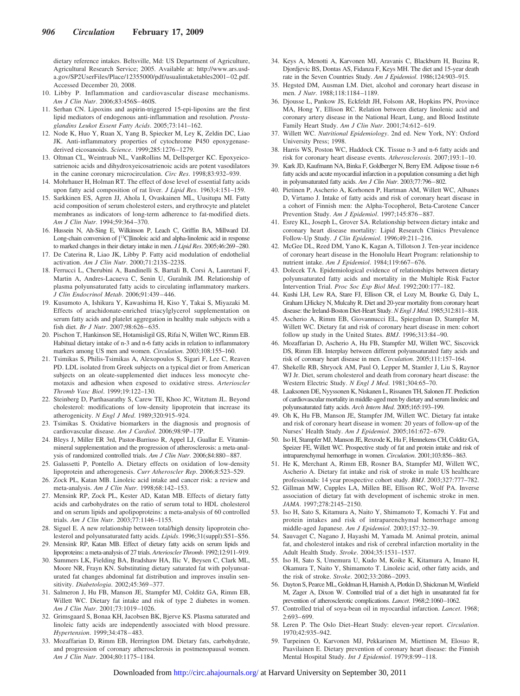dietary reference intakes. Beltsville, Md: US Department of Agriculture, Agricultural Research Service; 2005. Available at: http://www.ars.usda.gov/SP2UserFiles/Place/12355000/pdf/usualintaketables2001– 02.pdf. Accessed December 20, 2008.

- 10. Libby P. Inflammation and cardiovascular disease mechanisms. *Am J Clin Nutr*. 2006;83:456S– 460S.
- 11. Serhan CN. Lipoxins and aspirin-triggered 15-epi-lipoxins are the first lipid mediators of endogenous anti-inflammation and resolution. *Prostaglandins Leukot Essent Fatty Acids*. 2005;73:141–162.
- 12. Node K, Huo Y, Ruan X, Yang B, Spiecker M, Ley K, Zeldin DC, Liao JK. Anti-inflammatory properties of cytochrome P450 epoxygenasederived eicosanoids. *Science*. 1999;285:1276 –1279.
- 13. Oltman CL, Weintraub NL, VanRollins M, Dellsperger KC. Epoxyeicosatrienoic acids and dihydroxyeicosatrienoic acids are potent vasodilators in the canine coronary microcirculation. *Circ Res*. 1998;83:932–939.
- 14. Mohrhauer H, Holman RT. The effect of dose level of essential fatty acids upon fatty acid composition of rat liver. *J Lipid Res*. 1963;4:151–159.
- 15. Sarkkinen ES, Agren JJ, Ahola I, Ovaskainen ML, Uusitupa MI. Fatty acid composition of serum cholesterol esters, and erythrocyte and platelet membranes as indicators of long-term adherence to fat-modified diets. *Am J Clin Nutr*. 1994;59:364 –370.
- 16. Hussein N, Ah-Sing E, Wilkinson P, Leach C, Griffin BA, Millward DJ. Long-chain conversion of [<sup>13</sup>C]linoleic acid and alpha-linolenic acid in response to marked changes in their dietary intake in men. *J Lipid Res*. 2005;46:269–280.
- 17. De Caterina R, Liao JK, Libby P. Fatty acid modulation of endothelial activation. *Am J Clin Nutr*. 2000;71:213S–223S.
- 18. Ferrucci L, Cherubini A, Bandinelli S, Bartali B, Corsi A, Lauretani F, Martin A, Andres-Lacueva C, Senin U, Guralnik JM. Relationship of plasma polyunsaturated fatty acids to circulating inflammatory markers. *J Clin Endocrinol Metab*. 2006;91:439 – 446.
- 19. Kusumoto A, Ishikura Y, Kawashima H, Kiso Y, Takai S, Miyazaki M. Effects of arachidonate-enriched triacylglycerol supplementation on serum fatty acids and platelet aggregation in healthy male subjects with a fish diet. *Br J Nutr*. 2007;98:626 – 635.
- 20. Pischon T, Hankinson SE, Hotamisligil GS, Rifai N, Willett WC, Rimm EB. Habitual dietary intake of n-3 and n-6 fatty acids in relation to inflammatory markers among US men and women. *Circulation*. 2003;108:155–160.
- 21. Tsimikas S, Philis-Tsimikas A, Alexopoulos S, Sigari F, Lee C, Reaven PD. LDL isolated from Greek subjects on a typical diet or from American subjects on an oleate-supplemented diet induces less monocyte chemotaxis and adhesion when exposed to oxidative stress. *Arterioscler Thromb Vasc Biol*. 1999;19:122–130.
- 22. Steinberg D, Parthasarathy S, Carew TE, Khoo JC, Witztum JL. Beyond cholesterol: modifications of low-density lipoprotein that increase its atherogenicity. *N Engl J Med*. 1989;320:915–924.
- 23. Tsimikas S. Oxidative biomarkers in the diagnosis and prognosis of cardiovascular disease. *Am J Cardiol*. 2006;98:9P–17P.
- 24. Bleys J, Miller ER 3rd, Pastor-Barriuso R, Appel LJ, Guallar E. Vitaminmineral supplementation and the progression of atherosclerosis: a meta-analysis of randomized controlled trials. *Am J Clin Nutr*. 2006;84:880-887.
- 25. Galassetti P, Pontello A. Dietary effects on oxidation of low-density lipoprotein and atherogenesis. *Curr Atheroscler Rep*. 2006;8:523–529.
- 26. Zock PL, Katan MB. Linoleic acid intake and cancer risk: a review and meta-analysis. *Am J Clin Nutr*. 1998;68:142–153.
- 27. Mensink RP, Zock PL, Kester AD, Katan MB. Effects of dietary fatty acids and carbohydrates on the ratio of serum total to HDL cholesterol and on serum lipids and apolipoproteins: a meta-analysis of 60 controlled trials. *Am J Clin Nutr*. 2003;77:1146 –1155.
- 28. Siguel E. A new relationship between total/high density lipoprotein cholesterol and polyunsaturated fatty acids. *Lipids*. 1996;31(suppl):S51–S56.
- 29. Mensink RP, Katan MB. Effect of dietary fatty acids on serum lipids and lipoproteins: a meta-analysis of 27 trials. *Arterioscler Thromb*. 1992;12:911–919.
- 30. Summers LK, Fielding BA, Bradshaw HA, Ilic V, Beysen C, Clark ML, Moore NR, Frayn KN. Substituting dietary saturated fat with polyunsaturated fat changes abdominal fat distribution and improves insulin sensitivity. *Diabetologia*. 2002;45:369 –377.
- 31. Salmeron J, Hu FB, Manson JE, Stampfer MJ, Colditz GA, Rimm EB, Willett WC. Dietary fat intake and risk of type 2 diabetes in women. *Am J Clin Nutr*. 2001;73:1019 –1026.
- 32. Grimsgaard S, Bonaa KH, Jacobsen BK, Bjerve KS. Plasma saturated and linoleic fatty acids are independently associated with blood pressure. *Hypertension*. 1999;34:478 – 483.
- 33. Mozaffarian D, Rimm EB, Herrington DM. Dietary fats, carbohydrate, and progression of coronary atherosclerosis in postmenopausal women. *Am J Clin Nutr*. 2004;80:1175–1184.
- 34. Keys A, Menotti A, Karvonen MJ, Aravanis C, Blackburn H, Buzina R, Djordjevic BS, Dontas AS, Fidanza F, Keys MH. The diet and 15-year death rate in the Seven Countries Study. *Am J Epidemiol*. 1986;124:903–915.
- 35. Hegsted DM, Ausman LM. Diet, alcohol and coronary heart disease in men. *J Nutr*. 1988;118:1184 –1189.
- 36. Djousse L, Pankow JS, Eckfeldt JH, Folsom AR, Hopkins PN, Province MA, Hong Y, Ellison RC. Relation between dietary linolenic acid and coronary artery disease in the National Heart, Lung, and Blood Institute Family Heart Study. *Am J Clin Nutr*. 2001;74:612– 619.
- 37. Willett WC. *Nutritional Epidemiology*. 2nd ed. New York, NY: Oxford University Press; 1998.
- 38. Harris WS, Poston WC, Haddock CK. Tissue n-3 and n-6 fatty acids and risk for coronary heart disease events. *Atherosclerosis*. 2007;193:1–10.
- 39. Kark JD, Kaufmann NA, Binka F, Goldberger N, Berry EM. Adipose tissue n-6 fatty acids and acute myocardial infarction in a population consuming a diet high in polyunsaturated fatty acids. *Am J Clin Nutr*. 2003;77:796–802.
- 40. Pietinen P, Ascherio A, Korhonen P, Hartman AM, Willett WC, Albanes D, Virtamo J. Intake of fatty acids and risk of coronary heart disease in a cohort of Finnish men: the Alpha-Tocopherol, Beta-Carotene Cancer Prevention Study. *Am J Epidemiol*. 1997;145:876 – 887.
- 41. Esrey KL, Joseph L, Grover SA. Relationship between dietary intake and coronary heart disease mortality: Lipid Research Clinics Prevalence Follow-Up Study. *J Clin Epidemiol*. 1996;49:211–216.
- 42. McGee DL, Reed DM, Yano K, Kagan A, Tillotson J. Ten-year incidence of coronary heart disease in the Honolulu Heart Program: relationship to nutrient intake. *Am J Epidemiol*. 1984;119:667– 676.
- 43. Dolecek TA. Epidemiological evidence of relationships between dietary polyunsaturated fatty acids and mortality in the Multiple Risk Factor Intervention Trial. *Proc Soc Exp Biol Med*. 1992;200:177–182.
- 44. Kushi LH, Lew RA, Stare FJ, Ellison CR, el Lozy M, Bourke G, Daly L, Graham I,Hickey N, Mulcahy R. Diet and 20-year mortality from coronary heart disease: the Ireland-Boston Diet-Heart Study. *N Engl J Med*. 1985;312:811–818.
- 45. Ascherio A, Rimm EB, Giovannucci EL, Spiegelman D, Stampfer M, Willett WC. Dietary fat and risk of coronary heart disease in men: cohort follow up study in the United States. *BMJ*. 1996;313:84 –90.
- 46. Mozaffarian D, Ascherio A, Hu FB, Stampfer MJ, Willett WC, Siscovick DS, Rimm EB. Interplay between different polyunsaturated fatty acids and risk of coronary heart disease in men. *Circulation*. 2005;111:157–164.
- 47. Shekelle RB, Shryock AM, Paul O, Lepper M, Stamler J, Liu S, Raynor WJ Jr. Diet, serum cholesterol and death from coronary heart disease: the Western Electric Study. *N Engl J Med*. 1981;304:65–70.
- 48. Laaksonen DE, Nyyssonen K, Niskanen L, Rissanen TH, Salonen JT. Prediction of cardiovascular mortality in middle-aged men by dietary and serum linoleic and polyunsaturated fatty acids. *Arch Intern Med*. 2005;165:193–199.
- 49. Oh K, Hu FB, Manson JE, Stampfer JM, Willett WC. Dietary fat intake and risk of coronary heart disease in women: 20 years of follow-up of the Nurses' Health Study. Am J Epidemiol. 2005;161:672-679.
- 50. Iso H, Stampfer MJ, Manson JE, Rexrode K, Hu F, Hennekens CH, Colditz GA, Speizer FE, Willett WC. Prospective study of fat and protein intake and risk of intraparenchymal hemorrhage in women. *Circulation*. 2001;103:856–863.
- 51. He K, Merchant A, Rimm EB, Rosner BA, Stampfer MJ, Willett WC, Ascherio A. Dietary fat intake and risk of stroke in male US healthcare professionals: 14 year prospective cohort study. *BMJ*. 2003;327:777–782.
- 52. Gillman MW, Cupples LA, Millen BE, Ellison RC, Wolf PA. Inverse association of dietary fat with development of ischemic stroke in men. *JAMA*. 1997;278:2145–2150.
- 53. Iso H, Sato S, Kitamura A, Naito Y, Shimamoto T, Komachi Y. Fat and protein intakes and risk of intraparenchymal hemorrhage among middle-aged Japanese. *Am J Epidemiol*. 2003;157:32–39.
- 54. Sauvaget C, Nagano J, Hayashi M, Yamada M. Animal protein, animal fat, and cholesterol intakes and risk of cerebral infarction mortality in the Adult Health Study. *Stroke*. 2004;35:1531–1537.
- 55. Iso H, Sato S, Umemura U, Kudo M, Koike K, Kitamura A, Imano H, Okamura T, Naito Y, Shimamoto T. Linoleic acid, other fatty acids, and the risk of stroke. *Stroke*. 2002;33:2086 –2093.
- 56. Dayton S, Pearce ML, Goldman H, Harnish A, Plotkin D, Shickman M, Winfield M, Zager A, Dixon W. Controlled trial of a diet high in unsaturated fat for prevention of atherosclerotic complications. *Lancet*. 1968;2:1060–1062.
- 57. Controlled trial of soya-bean oil in myocardial infarction. *Lancet*. 1968; 2:693– 699.
- 58. Leren P. The Oslo Diet–Heart Study: eleven-year report. *Circulation*. 1970;42:935–942.
- 59. Turpeinen O, Karvonen MJ, Pekkarinen M, Miettinen M, Elosuo R, Paavilainen E. Dietary prevention of coronary heart disease: the Finnish Mental Hospital Study. *Int J Epidemiol*. 1979;8:99 –118.